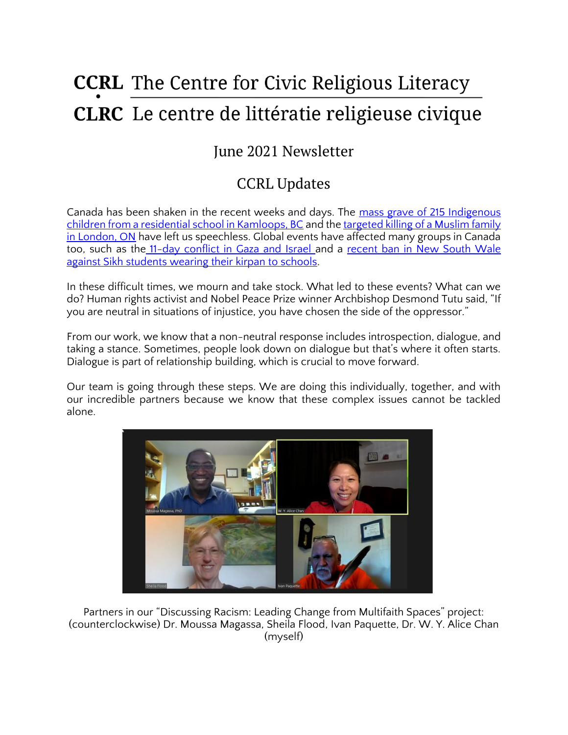# **CCRL** The Centre for Civic Religious Literacy **CLRC** Le centre de littératie religieuse civique

## June 2021 Newsletter

# CCRL Updates

Canada has been shaken in the recent weeks and days. The mass grave of 215 Indigenous [children from a residential school in Kamloops, BC](https://www.theglobeandmail.com/canada/british-columbia/article-kamloops-residential-school-mass-graves-215-children-explainer/) and the targeted killing of a Muslim family [in London, ON](https://london.ctvnews.ca/police-say-driver-intentionally-crashed-into-muslim-family-in-london-ont-killing-4-1.5458887) have left us speechless. Global events have affected many groups in Canada too, such as the [11-day conflict in Gaza and Israel a](https://www.bbc.com/news/world-middle-east-57205968)nd a recent ban in New South Wale [against Sikh students wearing their kirpan to schools.](https://www.smh.com.au/national/nsw/ignorance-and-xenophobia-nsw-school-dagger-ban-sparks-international-furore-20210521-p57txy.html)

In these difficult times, we mourn and take stock. What led to these events? What can we do? Human rights activist and Nobel Peace Prize winner Archbishop Desmond Tutu said, "If you are neutral in situations of injustice, you have chosen the side of the oppressor."

From our work, we know that a non-neutral response includes introspection, dialogue, and taking a stance. Sometimes, people look down on dialogue but that's where it often starts. Dialogue is part of relationship building, which is crucial to move forward.

Our team is going through these steps. We are doing this individually, together, and with our incredible partners because we know that these complex issues cannot be tackled alone.



Partners in our "Discussing Racism: Leading Change from Multifaith Spaces" project: (counterclockwise) Dr. Moussa Magassa, Sheila Flood, Ivan Paquette, Dr. W. Y. Alice Chan (myself)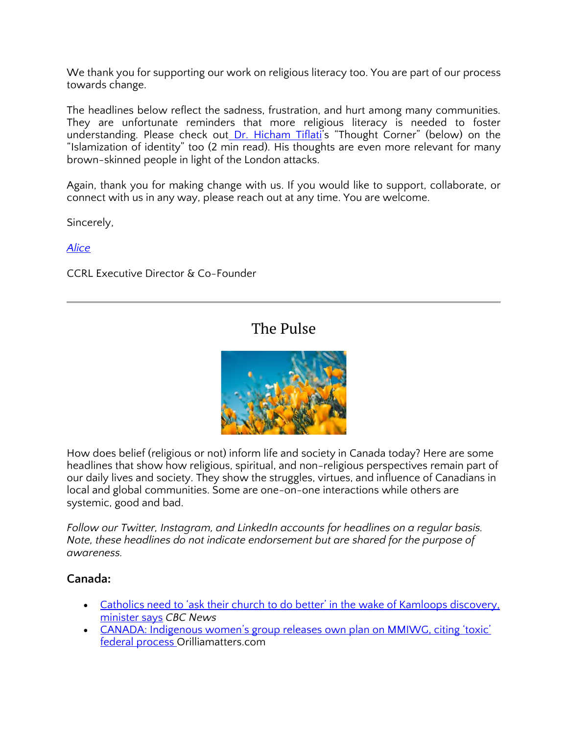We thank you for supporting our work on religious literacy too. You are part of our process towards change.

The headlines below reflect the sadness, frustration, and hurt among many communities. They are unfortunate reminders that more religious literacy is needed to foster understanding. Please check out [Dr. Hicham Tiflati](https://ccrl-clrc.ca/hicham-tiflati/)'s "Thought Corner" (below) on the "Islamization of identity" too (2 min read). His thoughts are even more relevant for many brown-skinned people in light of the London attacks.

Again, thank you for making change with us. If you would like to support, collaborate, or connect with us in any way, please reach out at any time. You are welcome.

Sincerely,

*[Alice](https://ccrl-clrc.ca/alice-chan/)*

CCRL Executive Director & Co-Founder

### The Pulse



How does belief (religious or not) inform life and society in Canada today? Here are some headlines that show how religious, spiritual, and non-religious perspectives remain part of our daily lives and society. They show the struggles, virtues, and influence of Canadians in local and global communities. Some are one-on-one interactions while others are systemic, good and bad.

*Follow our Twitter, Instagram, and LinkedIn accounts for headlines on a regular basis. Note, these headlines do not indicate endorsement but are shared for the purpose of awareness.* 

#### **Canada:**

- Catholics need to 'ask their church to do better' in the wake of Kamloops discovery, [minister says](https://www.cbc.ca/news/politics/un-calls-canada-prompt-exhaustive-investigations-1.6049912) *CBC News*
- [CANADA: Indigenous women's group releases own plan on MMIWG, citing 'toxic'](https://www.orilliamatters.com/around-ontario/canada-indigenous-womens-group-releases-own-plan-on-mmiwg-citing-toxic-federal-process-3836412)  [federal process O](https://www.orilliamatters.com/around-ontario/canada-indigenous-womens-group-releases-own-plan-on-mmiwg-citing-toxic-federal-process-3836412)rilliamatters.com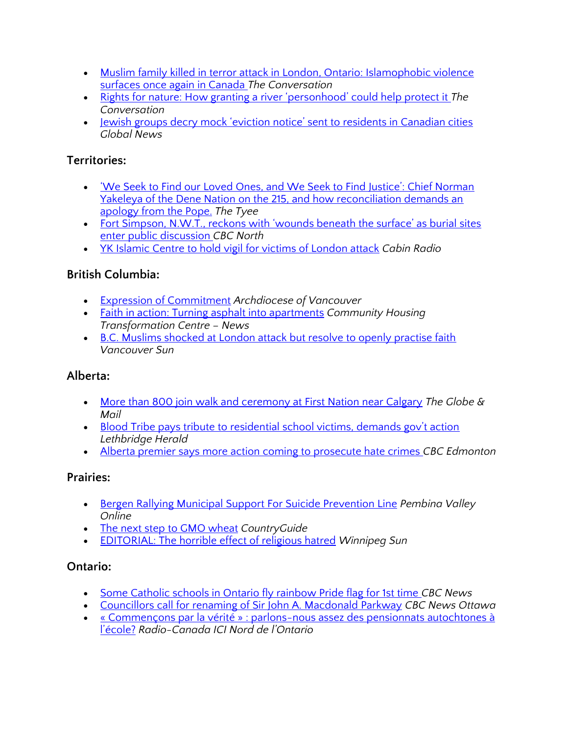- Muslim family killed in terror attack in London, Ontario: Islamophobic violence [surfaces once again in Canada](https://theconversation.com/muslim-family-killed-in-terror-attack-in-london-ontario-islamophobic-violence-surfaces-once-again-in-canada-162400?utm_medium=email&utm_campaign=Latest%20from%20The%20Conversation%20for%20June%209%202021&utm_content=Latest%20from%20The%20Conversation%20for%20June%209%202021+CID_4194e3c36988189c558c9d5df6b55450&utm_source=campaign_monitor_ca&utm_term=Muslim%20family%20killed%20in%20terror%20attack%20in%20London%20Ontario%20Islamophobic%20violence%20surfaces%20once%20again%20in%20Canada) *The Conversation*
- [Rights for nature: How granting a river 'personhood' could help protect it](https://theconversation.com/rights-for-nature-how-granting-a-river-personhood-could-help-protect-it-157117?utm_medium=email&utm_campaign=Latest%20from%20The%20Conversation%20for%20June%204%202021&utm_content=Latest%20from%20The%20Conversation%20for%20June%204%202021+CID_89df9321e50713a7d12326754070ee5a&utm_source=campaign_monitor_ca&utm_term=Rights%20for%20nature%20How%20granting%20a%20river%20personhood%20could%20help%20protect%20it) *The Conversation*
- [Jewish groups decry mock 'eviction notice' sent to residents in Canadian cities](https://globalnews.ca/news/7920214/jewish-groups-mock-eviction-notices-canadian-cities/) *Global News*

#### **Territories:**

- ['We Seek to Find our Loved Ones, and We Seek to Find Justice': Chief Norman](https://thetyee.ca/News/2021/06/08/We-Seek-To-Find-Loved-Ones-Justice/)  [Yakeleya of the Dene Nation on the 215, and how reconciliation demands an](https://thetyee.ca/News/2021/06/08/We-Seek-To-Find-Loved-Ones-Justice/)  [apology from the Pope.](https://thetyee.ca/News/2021/06/08/We-Seek-To-Find-Loved-Ones-Justice/) *The Tyee*
- Fort Simpson, N.W.T., reckons with 'wounds beneath the surface' as burial sites [enter public discussion](https://www.cbc.ca/news/canada/north/fort-simpson-burial-sites-reckoning-1.6054329) *CBC North*
- [YK Islamic Centre to hold vigil for victims of London attack](https://cabinradio.ca/65024/news/yellowknife/yk-islamic-centre-to-hold-vigil-for-victims-of-london-attack/) *Cabin Radio*

#### **British Columbia:**

- [Expression of Commitment](https://rcav.org/first-nations) *Archdiocese of Vancouver*
- [Faith in action: Turning asphalt into apartments](https://centre.support/faith-in-action-turning-asphalt-into-apartments/) *Community Housing Transformation Centre – News*
- [B.C. Muslims shocked at London attack but resolve to openly practise faith](https://vancouversun.com/news/local-news/b-c-muslims-shocked-at-london-ont-attack-but-resolve-to-openly-practise-faith) *Vancouver Sun*

#### **Alberta:**

- [More than 800 join walk and ceremony at First Nation near Calgary](https://www.theglobeandmail.com/canada/article-more-than-800-join-walk-and-ceremony-at-first-nation-near-calgary/) *The Globe & Mail*
- [Blood Tribe pays tribute to residential school victims, demands gov't action](https://lethbridgeherald.com/news/lethbridge-news/2021/06/04/blood-tribe-pays-tribute-to-residential-school-victims-demands-govt-action/) *Lethbridge Herald*
- [Alberta premier says more action coming to prosecute hate crimes](https://www.cbc.ca/news/canada/edmonton/alberta-premier-says-more-action-coming-to-prosecute-hate-crimes-1.6058545) *CBC Edmonton*

#### **Prairies:**

- [Bergen Rallying Municipal Support For Suicide Prevention Line](https://pembinavalleyonline.com/local/bergen-rallying-municipal-support-for-suicide-prevention-line) *Pembina Valley Online*
- [The next step to GMO wheat](https://www.country-guide.ca/crops/cereals/the-next-step-to-gmo-wheat/) *CountryGuide*
- [EDITORIAL: The horrible effect of religious hatred](https://winnipegsun.com/opinion/editorials/editorial-the-horrible-effect-of-religious-hatred) *Winnipeg Sun*

#### **Ontario:**

- [Some Catholic schools in Ontario fly rainbow Pride flag for 1st time](https://www.cbc.ca/news/canada/catholic-schools-pride-flag-1.6046609) *CBC News*
- [Councillors call for renaming of Sir John A. Macdonald Parkway](https://www.cbc.ca/news/canada/ottawa/ottawa-sir-john-a-macdonald-parkway-1.6050034) *CBC News Ottawa*
- [« Commençons par la vérité » : parlons-nous assez des pensionnats](https://ici.radio-canada.ca/nouvelle/1797963/histoire-premiere-nation-ontario-pensionnat) autochtones à [l'école?](https://ici.radio-canada.ca/nouvelle/1797963/histoire-premiere-nation-ontario-pensionnat) *Radio-Canada ICI Nord de l'Ontario*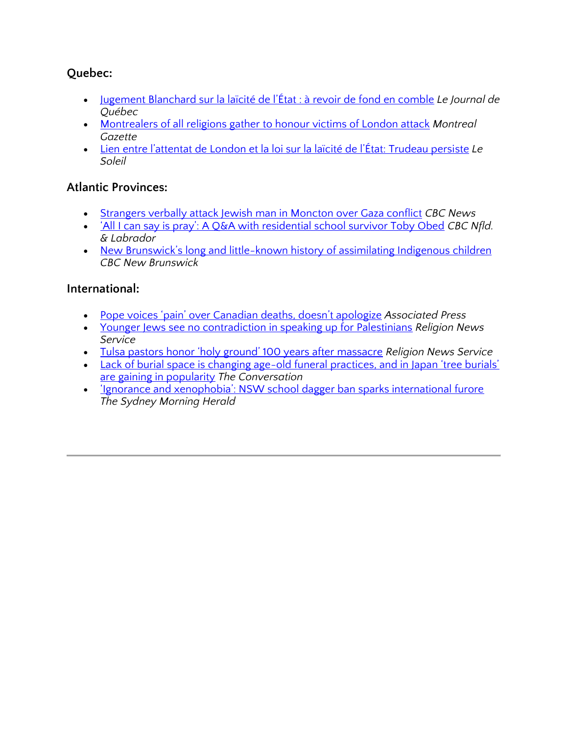#### **Quebec:**

- [Jugement Blanchard sur la laïcité de l'État : à revoir de f](https://www.journaldequebec.com/2021/06/02/jugement-blanchard-sur-la-laicite-de-letat--a-revoir-de-fond-en-comble)ond en comble *Le Journal de Québec*
- [Montrealers of all religions gather to honour victims of London attack](https://montrealgazette.com/news/local-news/montrealers-of-all-religions-gather-to-honour-victims-of-london-attack) *Montreal Gazette*
- [Lien entre l'attentat de London et la loi sur la laïcité de l'État: Trudeau persi](https://www.lesoleil.com/actualite/politique/lien-entre-lattentat-de-london-et-la-loi-sur-la-laicite-de-letat-trudeau-persiste-2d3050c39fe83ed8df460c31600c4f76)ste *Le Soleil*

#### **Atlantic Provinces:**

- [Strangers verbally attack Jewish man in Moncton over Gaza conflict](https://www.cbc.ca/news/canada/new-brunswick/synagogue-verbal-attacks-moncton-1.6049995) *CBC News*
- ['All I can say is pray': A Q&A with residential school survivor Toby Obed](https://www.cbc.ca/news/canada/newfoundland-labrador/toby-obed-kamloops-residential-school-1.6050495) *CBC Nfld. & Labrador*
- New Brunswick's long and little-known history of assimilating Indigenous children *CBC New Brunswick*

#### **International:**

- [Pope voices 'pain' over Canadian deaths, doesn't apologize](https://apnews.com/article/europe-canada-religion-d9cd8969bbe1deec1ab1db47bbf1da9e) *Associated Press*
- [Younger Jews see no contradiction in speaking up for Palestinians](https://religionnews.com/2021/05/28/for-many-younger-jews-supporting-palestinian-rights-is-in-line-with-their-jewish-identities/) *Religion News Service*
- [Tulsa pastors honor 'holy ground' 100 years after massacre](https://religionnews.com/2021/05/31/tulsa-pastors-honor-holy-ground-100-years-after-massacre/) *Religion News Service*
- Lack of burial space is changing age-old funeral practices, and in Japan 'tree burials' [are gaining in popularity](https://docs.google.com/document/d/1t1OdPBaGrkUg7zQxseC7QyD9McQPTCwXYDzoi91Enzk/edit) *The Conversation*
- ['Ignorance and xenophobia': NSW school dagger ban sparks international furore](https://www.smh.com.au/national/nsw/ignorance-and-xenophobia-nsw-school-dagger-ban-sparks-international-furore-20210521-p57txy.html) *The Sydney Morning Herald*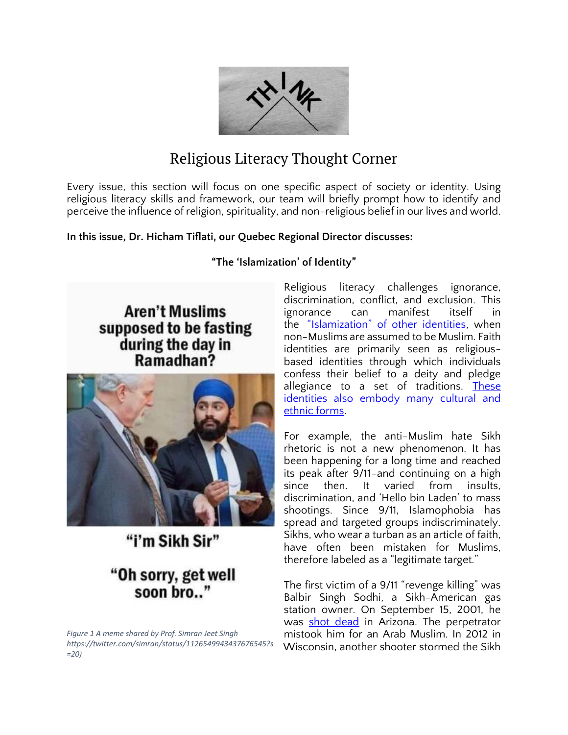

### Religious Literacy Thought Corner

Every issue, this section will focus on one specific aspect of society or identity. Using religious literacy skills and framework, our team will briefly prompt how to identify and perceive the influence of religion, spirituality, and non-religious belief in our lives and world.

#### **In this issue, Dr. Hicham Tiflati, our Quebec Regional Director discusses:**

**"The 'Islamization' of Identity"**

**Aren't Muslims** supposed to be fasting during the day in Ramadhan?



"i'm Sikh Sir"

### "Oh sorry, get well soon bro.."

*Figure 1 A meme shared by Prof. Simran Jeet Singh https://twitter.com/simran/status/1126549943437676545?s =20)*

Religious literacy challenges ignorance, discrimination, conflict, and exclusion. This ignorance can manifest itself in the ["Islamization" of other identities](https://www.theadvocate.com/baton_rouge/entertainment_life/faith/article_64f2c77a-2741-11e8-bfac-83dabe6d5aaf.html), when non-Muslims are assumed to be Muslim. Faith identities are primarily seen as religiousbased identities through which individuals confess their belief to a deity and pledge allegiance to a set of traditions. These identities also embody many cultural and [ethnic forms.](https://journals.sagepub.com/doi/abs/10.1177/0038038506069854)

For example, the anti-Muslim hate Sikh rhetoric is not a new phenomenon. It has been happening for a long time and reached its peak after 9/11–and continuing on a high since then. It varied from insults, discrimination, and 'Hello bin Laden' to mass shootings. Since 9/11, Islamophobia has spread and targeted groups indiscriminately. Sikhs, who wear a turban as an article of faith, have often been mistaken for Muslims, therefore labeled as a "legitimate target."

The first victim of a 9/11 "revenge killing" was Balbir Singh Sodhi, a Sikh-American gas station owner. On September 15, 2001, he was [shot dead](https://npr.org/2018/09/14/647426417/people-saw-only-a-turban-and-a-beard-reflecting-on-a-post-sept-11-death) in Arizona. The perpetrator mistook him for an Arab Muslim. In 2012 in Wisconsin, another shooter stormed the Sikh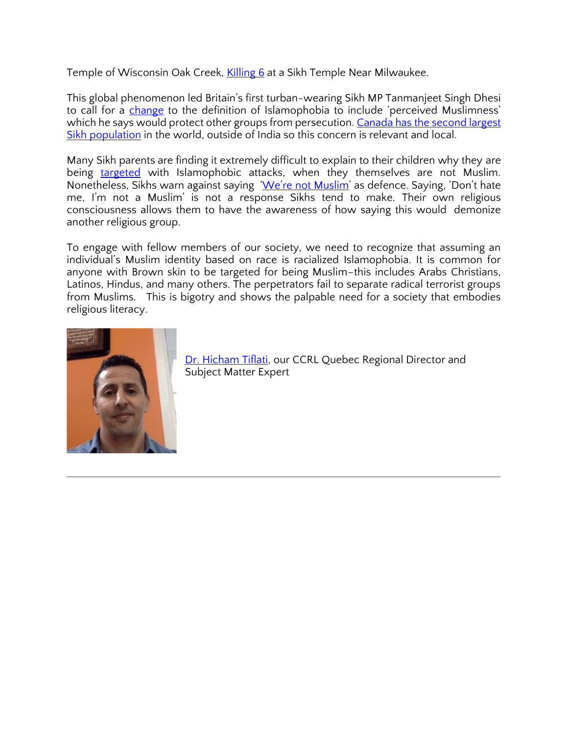Temple of Wisconsin Oak Creek, [Killing 6](https://www.nytimes.com/2012/08/06/us/shooting-reported-at-temple-in-wisconsin.html) at a Sikh Temple Near Milwaukee.

This global phenomenon led Britain's first turban-wearing Sikh MP Tanmanjeet Singh Dhesi to call for a *change* to the definition of Islamophobia to include 'perceived Muslimness' which he says would protect other groups from persecution. Canada has the second largest [Sikh population](https://www.worldatlas.com/articles/countries-with-the-largest-sikh-populations.html) in the world, outside of India so this concern is relevant and local.

Many Sikh parents are finding it extremely difficult to explain to their children why they are being [targeted](https://newstatesman.com/politics/staggers/2017/10/non-muslims-experiencing-islamophobic-attacks%E2%80%A6) with Islamophobic attacks, when they themselves are not Muslim. Nonetheless, Sikhs warn against saying ['We're not Muslim'](https://observers.france24.com/en/20120807-usa-sikhs-mourn-deadly-wisconsin-oak-creek-temple-shooting-warn-against-dwelling-mistaken-identity) as defence. Saying, 'Don't hate me, I'm not a Muslim' is not a response Sikhs tend to make. Their own religious consciousness allows them to have the awareness of how saying this would demonize another religious group.

To engage with fellow members of our society, we need to recognize that assuming an individual's Muslim identity based on race is racialized Islamophobia. It is common for anyone with Brown skin to be targeted for being Muslim–this includes Arabs Christians, Latinos, Hindus, and many others. The perpetrators fail to separate radical terrorist groups from Muslims. This is bigotry and shows the palpable need for a society that embodies religious literacy.



[Dr. Hicham Tiflati,](https://ccrl-clrc.ca/hicham-tiflati/) our CCRL Quebec Regional Director and Subject Matter Expert